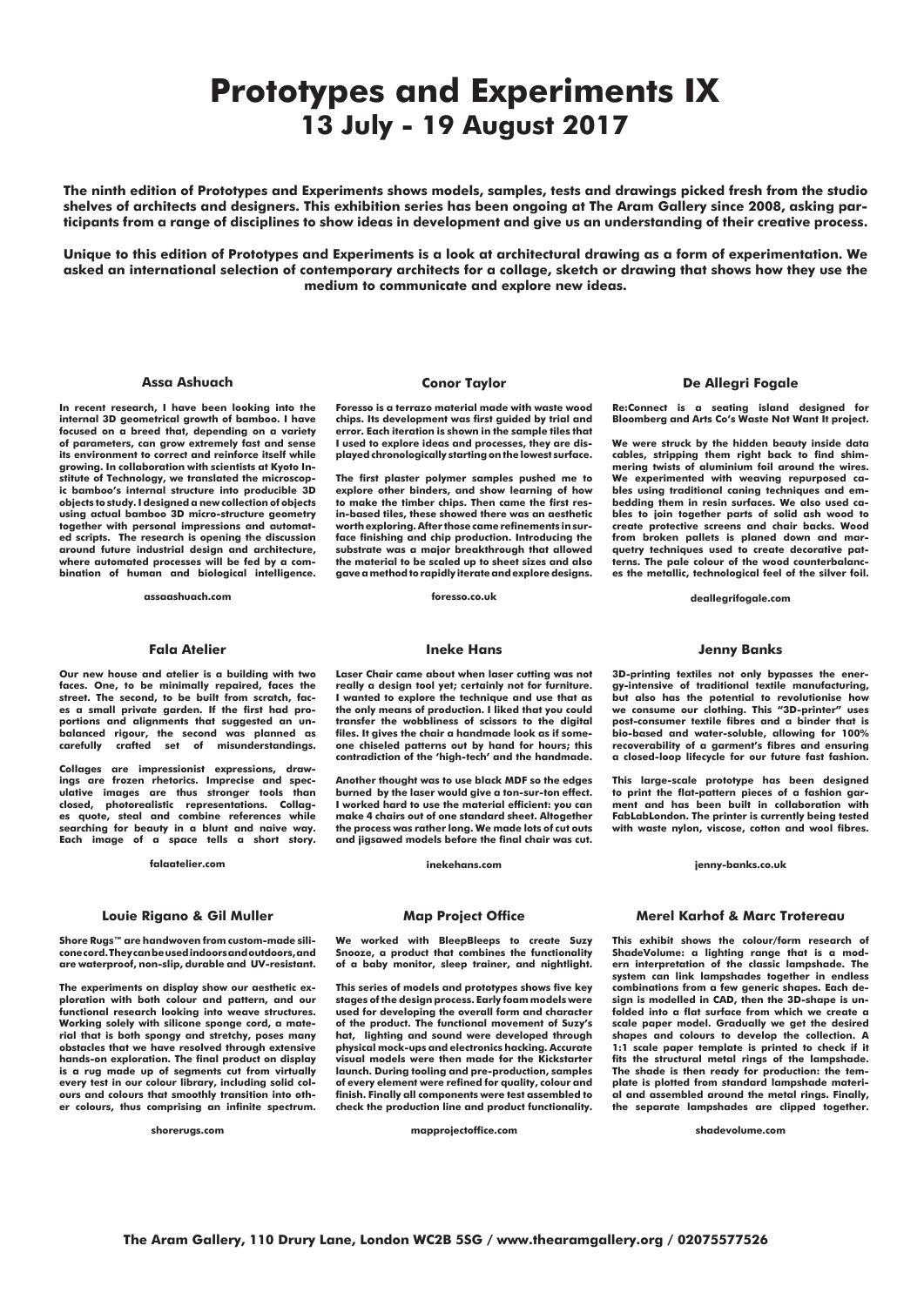# **Prototypes and Experiments IX 13 July - 19 August 2017**

#### **De Allegri Fogale**

**Re:Connect is a seating island designed for Bloomberg and Arts Co's Waste Not Want It project.** 

**We were struck by the hidden beauty inside data cables, stripping them right back to find shimmering twists of aluminium foil around the wires. We experimented with weaving repurposed cables using traditional caning techniques and embedding them in resin surfaces. We also used cables to join together parts of solid ash wood to create protective screens and chair backs. Wood from broken pallets is planed down and marquetry techniques used to create decorative patterns. The pale colour of the wood counterbalances the metallic, technological feel of the silver foil.** 

**deallegrifogale.com**

#### **Fala Atelier**

**Our new house and atelier is a building with two faces. One, to be minimally repaired, faces the street. The second, to be built from scratch, faces a small private garden. If the first had proportions and alignments that suggested an unbalanced rigour, the second was planned as carefully crafted set of misunderstandings.** 

**Collages are impressionist expressions, drawings are frozen rhetorics. Imprecise and speculative images are thus stronger tools than closed, photorealistic representations. Collages quote, steal and combine references while searching for beauty in a blunt and naive way. Each image of a space tells a short story.**

**falaatelier.com**

#### **Ineke Hans**

**Laser Chair came about when laser cutting was not really a design tool yet; certainly not for furniture. I wanted to explore the technique and use that as the only means of production. I liked that you could transfer the wobbliness of scissors to the digital files. It gives the chair a handmade look as if someone chiseled patterns out by hand for hours; this contradiction of the 'high-tech' and the handmade.** 

**Another thought was to use black MDF so the edges burned by the laser would give a ton-sur-ton effect. I worked hard to use the material efficient: you can make 4 chairs out of one standard sheet. Altogether the process was rather long. We made lots of cut outs and jigsawed models before the final chair was cut.**

**inekehans.com**

#### **Louie Rigano & Gil Muller**

**Shore Rugs™ are handwoven from custom-made silicone cord. They can be used indoors and outdoors, and are waterproof, non-slip, durable and UV-resistant.**

**The experiments on display show our aesthetic exploration with both colour and pattern, and our functional research looking into weave structures. Working solely with silicone sponge cord, a material that is both spongy and stretchy, poses many obstacles that we have resolved through extensive hands-on exploration. The final product on display is a rug made up of segments cut from virtually every test in our colour library, including solid colours and colours that smoothly transition into other colours, thus comprising an infinite spectrum.** 

**shorerugs.com**

#### **Map Project Office**

**We worked with BleepBleeps to create Suzy Snooze, a product that combines the functionality** 

**of a baby monitor, sleep trainer, and nightlight. This series of models and prototypes shows five key stages of the design process. Early foam models were used for developing the overall form and character of the product. The functional movement of Suzy's hat, lighting and sound were developed through physical mock-ups and electronics hacking. Accurate visual models were then made for the Kickstarter launch. During tooling and pre-production, samples of every element were refined for quality, colour and finish. Finally all components were test assembled to check the production line and product functionality.**

**mapprojectoffice.com**

**The Aram Gallery, 110 Drury Lane, London WC2B 5SG / www.thearamgallery.org / 02075577526**

#### **Assa Ashuach**

**In recent research, I have been looking into the internal 3D geometrical growth of bamboo. I have focused on a breed that, depending on a variety of parameters, can grow extremely fast and sense its environment to correct and reinforce itself while growing. In collaboration with scientists at Kyoto Institute of Technology, we translated the microscopic bamboo's internal structure into producible 3D objects to study. I designed a new collection of objects using actual bamboo 3D micro-structure geometry together with personal impressions and automated scripts. The research is opening the discussion around future industrial design and architecture, where automated processes will be fed by a combination of human and biological intelligence.**

**assaashuach.com**

**The ninth edition of Prototypes and Experiments shows models, samples, tests and drawings picked fresh from the studio shelves of architects and designers. This exhibition series has been ongoing at The Aram Gallery since 2008, asking participants from a range of disciplines to show ideas in development and give us an understanding of their creative process.** 

**Unique to this edition of Prototypes and Experiments is a look at architectural drawing as a form of experimentation. We asked an international selection of contemporary architects for a collage, sketch or drawing that shows how they use the medium to communicate and explore new ideas.**

#### **Merel Karhof & Marc Trotereau**

**This exhibit shows the colour/form research of ShadeVolume: a lighting range that is a modern interpretation of the classic lampshade. The system can link lampshades together in endless combinations from a few generic shapes. Each design is modelled in CAD, then the 3D-shape is unfolded into a flat surface from which we create a scale paper model. Gradually we get the desired shapes and colours to develop the collection. A 1:1 scale paper template is printed to check if it fits the structural metal rings of the lampshade. The shade is then ready for production: the template is plotted from standard lampshade material and assembled around the metal rings. Finally, the separate lampshades are clipped together.** 

**shadevolume.com**

**Jenny Banks**

**3D-printing textiles not only bypasses the energy-intensive of traditional textile manufacturing, but also has the potential to revolutionise how we consume our clothing. This "3D-printer" uses post-consumer textile fibres and a binder that is bio-based and water-soluble, allowing for 100% recoverability of a garment's fibres and ensuring a closed-loop lifecycle for our future fast fashion.**

**This large-scale prototype has been designed to print the flat-pattern pieces of a fashion garment and has been built in collaboration with FabLabLondon. The printer is currently being tested with waste nylon, viscose, cotton and wool fibres.**

#### **jenny-banks.co.uk**

### **Conor Taylor**

**Foresso is a terrazo material made with waste wood chips. Its development was first guided by trial and error. Each iteration is shown in the sample tiles that I used to explore ideas and processes, they are displayed chronologically starting on the lowest surface.** 

**The first plaster polymer samples pushed me to explore other binders, and show learning of how to make the timber chips. Then came the first resin-based tiles, these showed there was an aesthetic worth exploring. After those came refinements in surface finishing and chip production. Introducing the substrate was a major breakthrough that allowed the material to be scaled up to sheet sizes and also gave a method to rapidly iterate and explore designs.**

**foresso.co.uk**